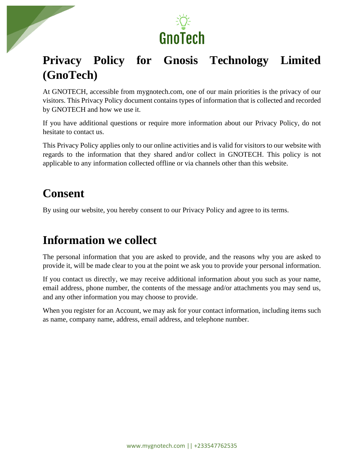

# **Privacy Policy for Gnosis Technology Limited (GnoTech)**

At GNOTECH, accessible from mygnotech.com, one of our main priorities is the privacy of our visitors. This Privacy Policy document contains types of information that is collected and recorded by GNOTECH and how we use it.

If you have additional questions or require more information about our Privacy Policy, do not hesitate to contact us.

This Privacy Policy applies only to our online activities and is valid for visitors to our website with regards to the information that they shared and/or collect in GNOTECH. This policy is not applicable to any information collected offline or via channels other than this website.

# **Consent**

By using our website, you hereby consent to our Privacy Policy and agree to its terms.

#### **Information we collect**

The personal information that you are asked to provide, and the reasons why you are asked to provide it, will be made clear to you at the point we ask you to provide your personal information.

If you contact us directly, we may receive additional information about you such as your name, email address, phone number, the contents of the message and/or attachments you may send us, and any other information you may choose to provide.

When you register for an Account, we may ask for your contact information, including items such as name, company name, address, email address, and telephone number.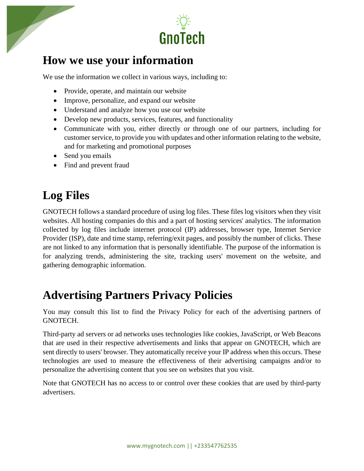



#### **How we use your information**

We use the information we collect in various ways, including to:

- Provide, operate, and maintain our website
- Improve, personalize, and expand our website
- Understand and analyze how you use our website
- Develop new products, services, features, and functionality
- Communicate with you, either directly or through one of our partners, including for customer service, to provide you with updates and other information relating to the website, and for marketing and promotional purposes
- Send you emails
- Find and prevent fraud

# **Log Files**

GNOTECH follows a standard procedure of using log files. These files log visitors when they visit websites. All hosting companies do this and a part of hosting services' analytics. The information collected by log files include internet protocol (IP) addresses, browser type, Internet Service Provider (ISP), date and time stamp, referring/exit pages, and possibly the number of clicks. These are not linked to any information that is personally identifiable. The purpose of the information is for analyzing trends, administering the site, tracking users' movement on the website, and gathering demographic information.

### **Advertising Partners Privacy Policies**

You may consult this list to find the Privacy Policy for each of the advertising partners of GNOTECH.

Third-party ad servers or ad networks uses technologies like cookies, JavaScript, or Web Beacons that are used in their respective advertisements and links that appear on GNOTECH, which are sent directly to users' browser. They automatically receive your IP address when this occurs. These technologies are used to measure the effectiveness of their advertising campaigns and/or to personalize the advertising content that you see on websites that you visit.

Note that GNOTECH has no access to or control over these cookies that are used by third-party advertisers.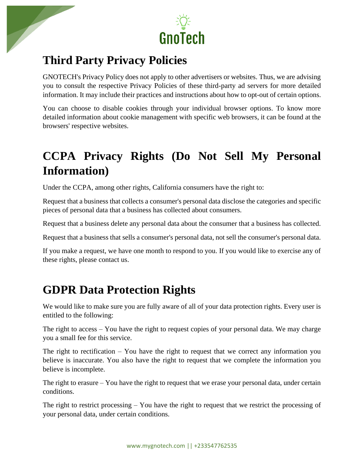

### **Third Party Privacy Policies**

GNOTECH's Privacy Policy does not apply to other advertisers or websites. Thus, we are advising you to consult the respective Privacy Policies of these third-party ad servers for more detailed information. It may include their practices and instructions about how to opt-out of certain options.

You can choose to disable cookies through your individual browser options. To know more detailed information about cookie management with specific web browsers, it can be found at the browsers' respective websites.

# **CCPA Privacy Rights (Do Not Sell My Personal Information)**

Under the CCPA, among other rights, California consumers have the right to:

Request that a business that collects a consumer's personal data disclose the categories and specific pieces of personal data that a business has collected about consumers.

Request that a business delete any personal data about the consumer that a business has collected.

Request that a business that sells a consumer's personal data, not sell the consumer's personal data.

If you make a request, we have one month to respond to you. If you would like to exercise any of these rights, please contact us.

### **GDPR Data Protection Rights**

We would like to make sure you are fully aware of all of your data protection rights. Every user is entitled to the following:

The right to access – You have the right to request copies of your personal data. We may charge you a small fee for this service.

The right to rectification – You have the right to request that we correct any information you believe is inaccurate. You also have the right to request that we complete the information you believe is incomplete.

The right to erasure – You have the right to request that we erase your personal data, under certain conditions.

The right to restrict processing – You have the right to request that we restrict the processing of your personal data, under certain conditions.